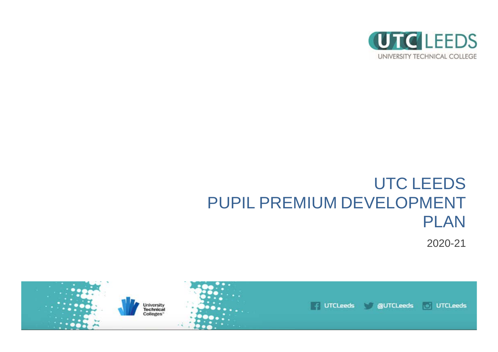

# UTC LEEDS PUPIL PREMIUM DEVELOPMENT PLAN

2020-21

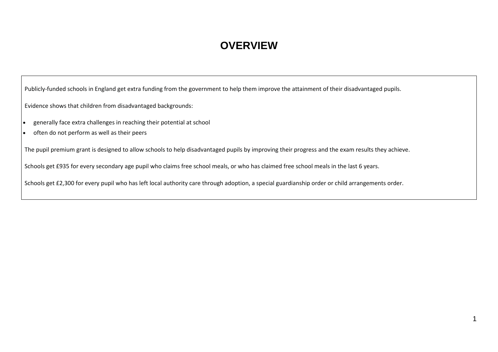## **OVERVIEW**

Publicly-funded schools in England get extra funding from the government to help them improve the attainment of their disadvantaged pupils.

Evidence shows that children from disadvantaged backgrounds:

- generally face extra challenges in reaching their potential at school
- often do not perform as well as their peers

The pupil premium grant is designed to allow schools to help disadvantaged pupils by improving their progress and the exam results they achieve.

Schools get £935 for every secondary age pupil who claims free school meals, or who has claimed free school meals in the last 6 years.

Schools get £2,300 for every pupil who has left local authority care through adoption, a special guardianship order or child arrangements order.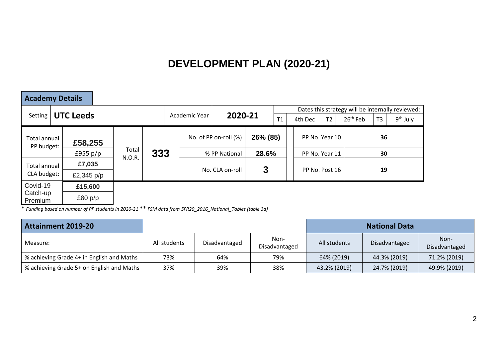# **DEVELOPMENT PLAN (2020-21)**

| <b>Academy Details</b>            |                  |  |                 |     |                          |  |                       |          |  |                                                  |                |  |            |                |            |  |  |  |
|-----------------------------------|------------------|--|-----------------|-----|--------------------------|--|-----------------------|----------|--|--------------------------------------------------|----------------|--|------------|----------------|------------|--|--|--|
|                                   |                  |  |                 |     |                          |  |                       |          |  | Dates this strategy will be internally reviewed: |                |  |            |                |            |  |  |  |
| Setting                           | <b>UTC Leeds</b> |  |                 |     | 2020-21<br>Academic Year |  |                       | T1       |  | 4th Dec                                          | T <sub>2</sub> |  | $26th$ Feb | T <sub>3</sub> | $9th$ July |  |  |  |
| <b>Total annual</b><br>PP budget: | £58,255          |  |                 |     |                          |  | No. of PP on-roll (%) | 26% (85) |  |                                                  | PP No. Year 10 |  | 36         |                |            |  |  |  |
|                                   | £955 $p/p$       |  | Total<br>N.O.R. | 333 |                          |  | % PP National         | 28.6%    |  | PP No. Year 11                                   |                |  | 30         |                |            |  |  |  |
| <b>Total annual</b>               | £7,035           |  |                 |     |                          |  |                       |          |  |                                                  | PP No. Post 16 |  |            |                |            |  |  |  |
| CLA budget:                       | £2,345 $p/p$     |  |                 |     |                          |  | No. CLA on-roll       | 3        |  |                                                  |                |  |            |                |            |  |  |  |
| Covid-19                          | £15,600          |  |                 |     |                          |  |                       |          |  |                                                  |                |  |            |                |            |  |  |  |
| Catch-up<br>Premium               | £80 $p/p$        |  |                 |     |                          |  |                       |          |  |                                                  |                |  |            |                |            |  |  |  |

\* *Funding based on number of PP students in 2020-21* \*\* *FSM data from SFR20\_2016\_National\_Tables (table 3a)*

| <b>Attainment 2019-20</b>                 |              |               |                       | <b>National Data</b> |               |                       |  |  |
|-------------------------------------------|--------------|---------------|-----------------------|----------------------|---------------|-----------------------|--|--|
| Measure:                                  | All students | Disadvantaged | Non-<br>Disadvantaged | All students         | Disadvantaged | Non-<br>Disadvantaged |  |  |
| % achieving Grade 4+ in English and Maths | 73%          | 64%           | 79%                   | 64% (2019)           | 44.3% (2019)  | 71.2% (2019)          |  |  |
| % achieving Grade 5+ on English and Maths | 37%          | 39%           | 38%                   | 43.2% (2019)         | 24.7% (2019)  | 49.9% (2019)          |  |  |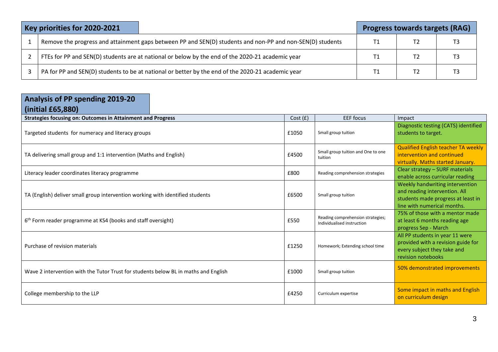| Key priorities for 2020-2021                                                                              |    | <b>Progress towards targets (RAG)</b> |  |  |  |  |
|-----------------------------------------------------------------------------------------------------------|----|---------------------------------------|--|--|--|--|
| Remove the progress and attainment gaps between PP and SEN(D) students and non-PP and non-SEN(D) students | T1 |                                       |  |  |  |  |
| FTEs for PP and SEN(D) students are at national or below by the end of the 2020-21 academic year          |    |                                       |  |  |  |  |
| PA for PP and SEN(D) students to be at national or better by the end of the 2020-21 academic year         | Τ1 |                                       |  |  |  |  |

| Analysis of PP spending 2019-20<br>(inicial E65,880)                                |         |                                                                 |                                                                                                                                       |  |  |  |
|-------------------------------------------------------------------------------------|---------|-----------------------------------------------------------------|---------------------------------------------------------------------------------------------------------------------------------------|--|--|--|
| <b>Strategies focusing on: Outcomes in Attainment and Progress</b>                  | Cost(f) | <b>EEF</b> focus                                                | Impact                                                                                                                                |  |  |  |
| Targeted students for numeracy and literacy groups                                  | £1050   | Small group tuition                                             | Diagnostic testing (CATS) identified<br>students to target.                                                                           |  |  |  |
| TA delivering small group and 1:1 intervention (Maths and English)                  | £4500   | Small group tuition and One to one<br>tuition                   | <b>Qualified English teacher TA weekly</b><br>intervention and continued<br>virtually. Maths started January.                         |  |  |  |
| Literacy leader coordinates literacy programme                                      | £800    | Reading comprehension strategies                                | Clear strategy - SURF materials<br>enable across curricular reading                                                                   |  |  |  |
| TA (English) deliver small group intervention working with identified students      |         | Small group tuition                                             | Weekly handwriting intervention<br>and reading intervention. All<br>students made progress at least in<br>line with numerical months. |  |  |  |
| 6 <sup>th</sup> Form reader programme at KS4 (books and staff oversight)            | £550    | Reading comprehension strategies;<br>Individualised instruction | 75% of those with a mentor made<br>at least 6 months reading age<br>progress Sep - March                                              |  |  |  |
| Purchase of revision materials<br>£1250                                             |         | Homework; Extending school time                                 | All PP students in year 11 were<br>provided with a revision guide for<br>every subject they take and<br>revision notebooks            |  |  |  |
| Wave 2 intervention with the Tutor Trust for students below BL in maths and English | £1000   | Small group tuition                                             | 50% demonstrated improvements                                                                                                         |  |  |  |
| College membership to the LLP                                                       | £4250   | Curriculum expertise                                            | Some impact in maths and English<br>on curriculum design                                                                              |  |  |  |

3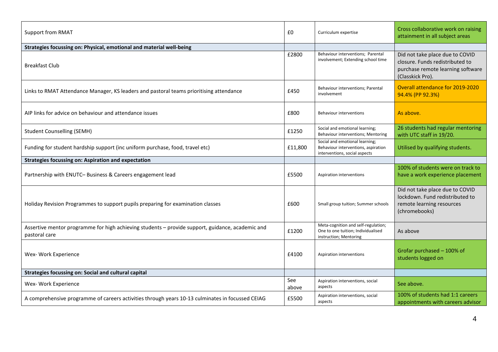| <b>Support from RMAT</b>                                                                                          |              | Curriculum expertise                                                                                   | Cross collaborative work on raising<br>attainment in all subject areas                                                      |
|-------------------------------------------------------------------------------------------------------------------|--------------|--------------------------------------------------------------------------------------------------------|-----------------------------------------------------------------------------------------------------------------------------|
| Strategies focussing on: Physical, emotional and material well-being                                              |              |                                                                                                        |                                                                                                                             |
| Breakfast Club                                                                                                    | £2800        | Behaviour interventions; Parental<br>involvement; Extending school time                                | Did not take place due to COVID<br>closure. Funds redistributed to<br>purchase remote learning software<br>(Classkick Pro). |
| Links to RMAT Attendance Manager, KS leaders and pastoral teams prioritising attendance                           | £450         | Behaviour interventions; Parental<br>involvement                                                       | Overall attendance for 2019-2020<br>94.4% (PP 92.3%)                                                                        |
| AIP links for advice on behaviour and attendance issues                                                           | £800         | <b>Behaviour interventions</b>                                                                         | As above.                                                                                                                   |
| <b>Student Counselling (SEMH)</b>                                                                                 | £1250        | Social and emotional learning;<br>Behaviour interventions; Mentoring                                   | 26 students had regular mentoring<br>with UTC staff in 19/20.                                                               |
| Funding for student hardship support (inc uniform purchase, food, travel etc)                                     | £11,800      | Social and emotional learning;<br>Behaviour interventions, aspiration<br>interventions, social aspects | Utilised by qualifying students.                                                                                            |
| <b>Strategies focussing on: Aspiration and expectation</b>                                                        |              |                                                                                                        |                                                                                                                             |
| Partnership with ENUTC- Business & Careers engagement lead                                                        | £5500        | Aspiration interventions                                                                               | 100% of students were on track to<br>have a work experience placement                                                       |
| Holiday Revision Programmes to support pupils preparing for examination classes                                   | £600         | Small group tuition; Summer schools                                                                    | Did not take place due to COVID<br>lockdown. Fund redistributed to<br>remote learning resources<br>(chromebooks)            |
| Assertive mentor programme for high achieving students - provide support, guidance, academic and<br>pastoral care | £1200        | Meta-cognition and self-regulation;<br>One to one tuition; Individualised<br>instruction; Mentoring    | As above                                                                                                                    |
| Wex- Work Experience                                                                                              | £4100        | Aspiration interventions                                                                               | Grofar purchased - 100% of<br>students logged on                                                                            |
| Strategies focussing on: Social and cultural capital                                                              |              |                                                                                                        |                                                                                                                             |
| Wex- Work Experience                                                                                              | See<br>above | Aspiration interventions, social<br>aspects                                                            | See above.                                                                                                                  |
| A comprehensive programme of careers activities through years 10-13 culminates in focussed CEIAG                  | £5500        | Aspiration interventions, social<br>aspects                                                            | 100% of students had 1:1 careers<br>appointments with careers advisor                                                       |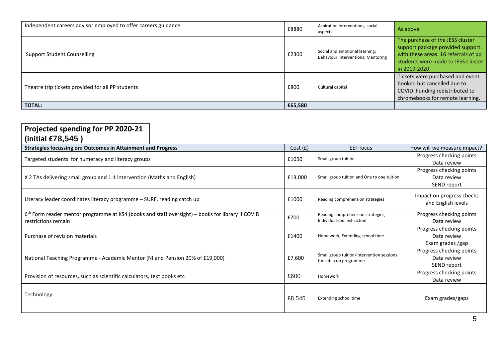| Independent careers advisor employed to offer careers guidance | £8880   | Aspiration interventions, social<br>aspects                          | As above.                                                                                                                                                           |
|----------------------------------------------------------------|---------|----------------------------------------------------------------------|---------------------------------------------------------------------------------------------------------------------------------------------------------------------|
| <b>Support Student Counselling</b>                             | £2300   | Social and emotional learning;<br>Behaviour interventions; Mentoring | The purchase of the JESS cluster<br>support package provided support<br>with these areas. 16 referrals of pp<br>students were made to JESS Cluster<br>in 2019-2020. |
| Theatre trip tickets provided for all PP students              | £800    | Cultural capital                                                     | Tickets were purchased and event<br>booked but cancelled due to<br>COVID. Funding redistributed to<br>chromebooks for remote learning.                              |
| <b>TOTAL:</b>                                                  | £65,580 |                                                                      |                                                                                                                                                                     |

| Projected spending for PP 2020-21<br>(initial $£78,545$ )                                                                 |         |                                                                     |                                                             |
|---------------------------------------------------------------------------------------------------------------------------|---------|---------------------------------------------------------------------|-------------------------------------------------------------|
| <b>Strategies focussing on: Outcomes in Attainment and Progress</b>                                                       | Cost(f) | <b>EEF</b> focus                                                    | How will we measure impact?                                 |
| Targeted students for numeracy and literacy groups                                                                        | £1050   | Small group tuition                                                 | Progress checking points<br>Data review                     |
| X 2 TAs delivering small group and 1:1 intervention (Maths and English)                                                   | £13,000 | Small group tuition and One to one tuition                          | Progress checking points<br>Data review<br>SEND report      |
| Literacy leader coordinates literacy programme – SURF, reading catch up                                                   | £1000   | Reading comprehension strategies                                    | Impact on progress checks<br>and English levels             |
| $6th$ Form reader mentor programme at KS4 (books and staff oversight) – books for library if COVID<br>restrictions remain | £700    | Reading comprehension strategies;<br>Individualised instruction     | Progress checking points<br>Data review                     |
| Purchase of revision materials                                                                                            | £1400   | Homework; Extending school time                                     | Progress checking points<br>Data review<br>Exam grades /gap |
| National Teaching Programme - Academic Mentor (NI and Pension 20% of £19,000)                                             | £7,600  | Small group tuition/intervention sessions<br>for catch up programme | Progress checking points<br>Data review<br>SEND report      |
| Provision of resources, such as scientific calculators, text books etc                                                    | £600    | Homework                                                            | Progress checking points<br>Data review                     |
| Technology                                                                                                                | £8,545  | Extending school time                                               | Exam grades/gaps                                            |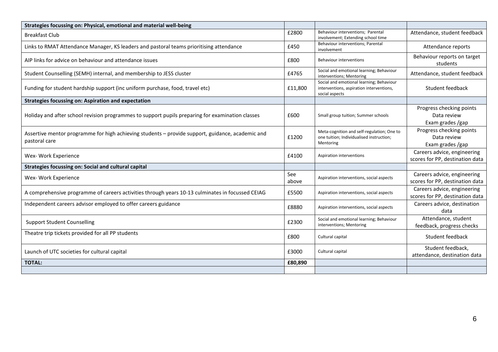| Strategies focussing on: Physical, emotional and material well-being                                              |              |                                                                                                        |                                                                |
|-------------------------------------------------------------------------------------------------------------------|--------------|--------------------------------------------------------------------------------------------------------|----------------------------------------------------------------|
| <b>Breakfast Club</b>                                                                                             | £2800        | Behaviour interventions; Parental<br>involvement; Extending school time                                | Attendance, student feedback                                   |
| Links to RMAT Attendance Manager, KS leaders and pastoral teams prioritising attendance                           | £450         | Behaviour interventions; Parental<br>involvement                                                       | Attendance reports                                             |
| AIP links for advice on behaviour and attendance issues                                                           | £800         | <b>Behaviour interventions</b>                                                                         | Behaviour reports on target<br>students                        |
| Student Counselling (SEMH) internal, and membership to JESS cluster                                               | £4765        | Social and emotional learning; Behaviour<br>interventions; Mentoring                                   | Attendance, student feedback                                   |
| Funding for student hardship support (inc uniform purchase, food, travel etc)                                     | £11,800      | Social and emotional learning; Behaviour<br>interventions, aspiration interventions,<br>social aspects | Student feedback                                               |
| <b>Strategies focussing on: Aspiration and expectation</b>                                                        |              |                                                                                                        |                                                                |
| Holiday and after school revision programmes to support pupils preparing for examination classes                  | £600         | Small group tuition; Summer schools                                                                    | Progress checking points<br>Data review<br>Exam grades /gap    |
| Assertive mentor programme for high achieving students - provide support, guidance, academic and<br>pastoral care | £1200        | Meta-cognition and self-regulation; One to<br>one tuition; Individualised instruction;<br>Mentoring    | Progress checking points<br>Data review<br>Exam grades /gap    |
| Wex- Work Experience                                                                                              | £4100        | Aspiration interventions                                                                               | Careers advice, engineering<br>scores for PP, destination data |
| <b>Strategies focussing on: Social and cultural capital</b>                                                       |              |                                                                                                        |                                                                |
| Wex- Work Experience                                                                                              | See<br>above | Aspiration interventions, social aspects                                                               | Careers advice, engineering<br>scores for PP, destination data |
| A comprehensive programme of careers activities through years 10-13 culminates in focussed CEIAG                  | £5500        | Aspiration interventions, social aspects                                                               | Careers advice, engineering<br>scores for PP, destination data |
| Independent careers advisor employed to offer careers guidance                                                    | £8880        | Aspiration interventions, social aspects                                                               | Careers advice, destination<br>data                            |
| <b>Support Student Counselling</b>                                                                                | £2300        | Social and emotional learning; Behaviour<br>interventions; Mentoring                                   | Attendance, student<br>feedback, progress checks               |
| Theatre trip tickets provided for all PP students                                                                 | £800         | Cultural capital                                                                                       | Student feedback                                               |
| Launch of UTC societies for cultural capital                                                                      | £3000        | Cultural capital                                                                                       | Student feedback,<br>attendance, destination data              |
| <b>TOTAL:</b>                                                                                                     | £80,890      |                                                                                                        |                                                                |
|                                                                                                                   |              |                                                                                                        |                                                                |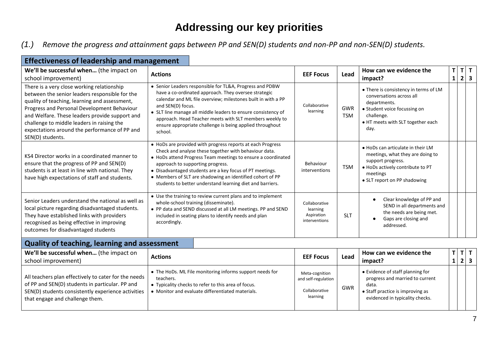## **Addressing our key priorities**

*(1.) Remove the progress and attainment gaps between PP and SEN(D) students and non-PP and non-SEN(D) students.*

| <b>Effectiveness of leadership and management</b>                                                                                                                                                                                                                                                                                                                 |                                                                                                                                                                                                                                                                                                                                                                                                               |                                                                    |                          |                                                                                                                                                                              |                    |   |                  |              |
|-------------------------------------------------------------------------------------------------------------------------------------------------------------------------------------------------------------------------------------------------------------------------------------------------------------------------------------------------------------------|---------------------------------------------------------------------------------------------------------------------------------------------------------------------------------------------------------------------------------------------------------------------------------------------------------------------------------------------------------------------------------------------------------------|--------------------------------------------------------------------|--------------------------|------------------------------------------------------------------------------------------------------------------------------------------------------------------------------|--------------------|---|------------------|--------------|
| We'll be successful when (the impact on<br>school improvement)                                                                                                                                                                                                                                                                                                    | <b>Actions</b>                                                                                                                                                                                                                                                                                                                                                                                                | <b>EEF Focus</b>                                                   | Lead                     | How can we evidence the<br>impact?                                                                                                                                           | Τ<br>$\mathbf{1}$  | T | $2 \mid 3$       | $\mathbf{T}$ |
| There is a very close working relationship<br>between the senior leaders responsible for the<br>quality of teaching, learning and assessment,<br>Progress and Personal Development Behaviour<br>and Welfare. These leaders provide support and<br>challenge to middle leaders in raising the<br>expectations around the performance of PP and<br>SEN(D) students. | • Senior Leaders responsible for TL&A, Progress and PDBW<br>have a co-ordinated approach. They oversee strategic<br>calendar and ML file overview; milestones built in with a PP<br>and SEN(D) focus.<br>• SLT line manage all middle leaders to ensure consistency of<br>approach. Head Teacher meets with SLT members weekly to<br>ensure appropriate challenge is being applied throughout<br>school.      | Collaborative<br>learning                                          | <b>GWR</b><br><b>TSM</b> | • There is consistency in terms of LM<br>conversations across all<br>departments.<br>• Student voice focussing on<br>challenge.<br>• HT meets with SLT together each<br>day. |                    |   |                  |              |
| KS4 Director works in a coordinated manner to<br>ensure that the progress of PP and SEN(D)<br>students is at least in line with national. They<br>have high expectations of staff and students.                                                                                                                                                                   | • HoDs are provided with progress reports at each Progress<br>Check and analyse these together with behaviour data.<br>• HoDs attend Progress Team meetings to ensure a coordinated<br>approach to supporting progress.<br>• Disadvantaged students are a key focus of PT meetings.<br>• Members of SLT are shadowing an identified cohort of PP<br>students to better understand learning diet and barriers. | Behaviour<br>interventions                                         | <b>TSM</b>               | • HoDs can articulate in their LM<br>meetings, what they are doing to<br>support progress.<br>• HoDs actively contribute to PT<br>meetings<br>• SLT report on PP shadowing   |                    |   |                  |              |
| Senior Leaders understand the national as well as<br>local picture regarding disadvantaged students.<br>They have established links with providers<br>recognised as being effective in improving<br>outcomes for disadvantaged students                                                                                                                           | • Use the training to review current plans and to implement<br>whole-school training (disseminate).<br>• PP data and SEND discussed at all LM meetings. PP and SEND<br>included in seating plans to identify needs and plan<br>accordingly.                                                                                                                                                                   | Collaborative<br>learning<br>Aspiration<br>interventions           | <b>SLT</b>               | Clear knowledge of PP and<br>SEND in all departments and<br>the needs are being met.<br>Gaps are closing and<br>addressed.                                                   |                    |   |                  |              |
| <b>Quality of teaching, learning and assessment</b>                                                                                                                                                                                                                                                                                                               |                                                                                                                                                                                                                                                                                                                                                                                                               |                                                                    |                          |                                                                                                                                                                              |                    |   |                  |              |
| We'll be successful when (the impact on<br>school improvement)                                                                                                                                                                                                                                                                                                    | <b>Actions</b>                                                                                                                                                                                                                                                                                                                                                                                                | <b>EEF Focus</b>                                                   | Lead                     | How can we evidence the<br>impact?                                                                                                                                           | T.<br>$\mathbf{1}$ |   | T <br>$2 \mid 3$ | $\mathbf{T}$ |
| All teachers plan effectively to cater for the needs<br>of PP and SEN(D) students in particular. PP and<br>SEN(D) students consistently experience activities<br>that engage and challenge them.                                                                                                                                                                  | • The HoDs. ML File monitoring informs support needs for<br>teachers.<br>• Typicality checks to refer to this area of focus.<br>• Monitor and evaluate differentiated materials.                                                                                                                                                                                                                              | Meta-cognition<br>and self-regulation<br>Collaborative<br>learning | GWR                      | • Evidence of staff planning for<br>progress and married to current<br>data.<br>• Staff practice is improving as<br>evidenced in typicality checks.                          |                    |   |                  |              |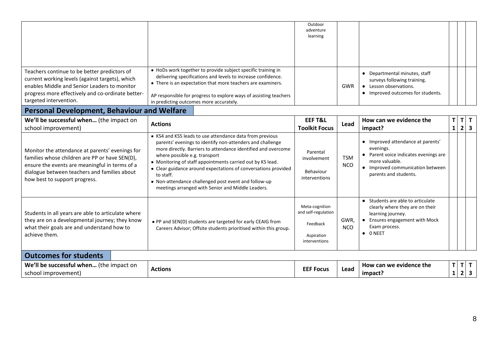|                                                                                                                                                                                                                                      |                                                                                                                                                                                                                                                                                                                                                                                                                                                                                   | Outdoor<br>adventure<br>learning                                                 |                          |                                                                                                                                                                        |                    |                       |
|--------------------------------------------------------------------------------------------------------------------------------------------------------------------------------------------------------------------------------------|-----------------------------------------------------------------------------------------------------------------------------------------------------------------------------------------------------------------------------------------------------------------------------------------------------------------------------------------------------------------------------------------------------------------------------------------------------------------------------------|----------------------------------------------------------------------------------|--------------------------|------------------------------------------------------------------------------------------------------------------------------------------------------------------------|--------------------|-----------------------|
| Teachers continue to be better predictors of<br>current working levels (against targets), which<br>enables Middle and Senior Leaders to monitor<br>progress more effectively and co-ordinate better-<br>targeted intervention.       | • HoDs work together to provide subject specific training in<br>delivering specifications and levels to increase confidence.<br>• There is an expectation that more teachers are examiners.<br>AP responsible for progress to explore ways of assisting teachers<br>in predicting outcomes more accurately.                                                                                                                                                                       |                                                                                  | GWR                      | • Departmental minutes, staff<br>surveys following training.<br>• Lesson observations.<br>• Improved outcomes for students.                                            |                    |                       |
| <b>Personal Development, Behaviour and Welfare</b>                                                                                                                                                                                   |                                                                                                                                                                                                                                                                                                                                                                                                                                                                                   |                                                                                  |                          |                                                                                                                                                                        |                    |                       |
| We'll be successful when (the impact on<br>school improvement)                                                                                                                                                                       | <b>Actions</b>                                                                                                                                                                                                                                                                                                                                                                                                                                                                    | <b>EEF T&amp;L</b><br><b>Toolkit Focus</b>                                       | Lead                     | How can we evidence the<br>impact?                                                                                                                                     | T.<br>$\mathbf{1}$ | $T$ $T$<br>$2 \mid 3$ |
| Monitor the attendance at parents' evenings for<br>families whose children are PP or have SEN(D),<br>ensure the events are meaningful in terms of a<br>dialogue between teachers and families about<br>how best to support progress. | • KS4 and KS5 leads to use attendance data from previous<br>parents' evenings to identify non-attenders and challenge<br>more directly. Barriers to attendance identified and overcome<br>where possible e.g. transport<br>• Monitoring of staff appointments carried out by KS lead.<br>• Clear guidance around expectations of conversations provided<br>to staff.<br>• Non-attendance challenged post event and follow-up<br>meetings arranged with Senior and Middle Leaders. | Parental<br>involvement<br>Behaviour<br>interventions                            | <b>TSM</b><br><b>NCO</b> | • Improved attendance at parents'<br>evenings.<br>• Parent voice indicates evenings are<br>more valuable.<br>• Improved communication between<br>parents and students. |                    |                       |
| Students in all years are able to articulate where<br>they are on a developmental journey; they know<br>what their goals are and understand how to<br>achieve them.                                                                  | • PP and SEN(D) students are targeted for early CEAIG from<br>Careers Advisor; Offsite students prioritised within this group.                                                                                                                                                                                                                                                                                                                                                    | Meta-cognition<br>and self-regulation<br>Feedback<br>Aspiration<br>interventions | GWR,<br><b>NCO</b>       | • Students are able to articulate<br>clearly where they are on their<br>learning journey.<br>• Ensures engagement with Mock<br>Exam process.<br>$\bullet$ ONEET        |                    |                       |
| <b>Outcomes for students</b>                                                                                                                                                                                                         |                                                                                                                                                                                                                                                                                                                                                                                                                                                                                   |                                                                                  |                          |                                                                                                                                                                        |                    |                       |
| We'll be successful when (the impact on                                                                                                                                                                                              |                                                                                                                                                                                                                                                                                                                                                                                                                                                                                   | rrr r.                                                                           | المحجبة                  | How can we evidence the                                                                                                                                                | T                  | т  т                  |

| We<br>the.<br>-impact on<br><b>SUCCESSTL</b><br>usful when<br>nr<br>ت معما ات<br>[mprovement]<br>school | Actions | CCC C<br><b>Focus</b><br>ا جا ہے۔ | Lead | evidence the<br>can we<br>HOW<br>impacy | $\ddot{\phantom{1}}$ |  |
|---------------------------------------------------------------------------------------------------------|---------|-----------------------------------|------|-----------------------------------------|----------------------|--|
|                                                                                                         |         |                                   |      |                                         |                      |  |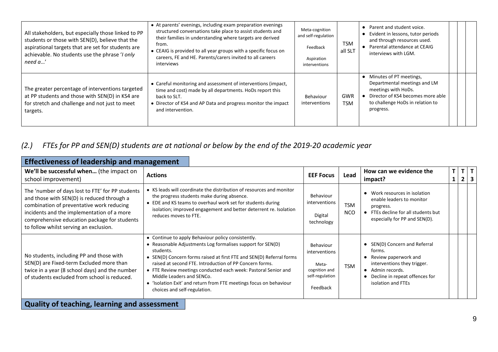| All stakeholders, but especially those linked to PP<br>students or those with SEN(D), believe that the<br>aspirational targets that are set for students are<br>achievable. No students use the phrase 'I only<br>need a' | • At parents' evenings, including exam preparation evenings<br>structured conversations take place to assist students and<br>their families in understanding where targets are derived<br>from.<br>• CEAIG is provided to all year groups with a specific focus on<br>careers, FE and HE. Parents/carers invited to all careers<br>interviews | Meta-cognition<br>and self-regulation<br>Feedback<br>Aspiration<br>interventions | <b>TSM</b><br>all SLT    | • Parent and student voice.<br>• Evident in lessons, tutor periods<br>and through resources used.<br>• Parental attendance at CEAIG<br>interviews with LGM.              |
|---------------------------------------------------------------------------------------------------------------------------------------------------------------------------------------------------------------------------|-----------------------------------------------------------------------------------------------------------------------------------------------------------------------------------------------------------------------------------------------------------------------------------------------------------------------------------------------|----------------------------------------------------------------------------------|--------------------------|--------------------------------------------------------------------------------------------------------------------------------------------------------------------------|
| The greater percentage of interventions targeted<br>at PP students and those with SEN(D) in KS4 are<br>for stretch and challenge and not just to meet<br>targets.                                                         | • Careful monitoring and assessment of interventions (impact,<br>time and cost) made by all departments. HoDs report this<br>back to SLT.<br>• Director of KS4 and AP Data and progress monitor the impact<br>and intervention.                                                                                                               | Behaviour<br>interventions                                                       | <b>GWR</b><br><b>TSM</b> | • Minutes of PT meetings,<br>Departmental meetings and LM<br>meetings with HoDs.<br>• Director of KS4 becomes more able<br>to challenge HoDs in relation to<br>progress. |

#### *(2.) FTEs for PP and SEN(D) students are at national or below by the end of the 2019-20 academic year*

| <b>Effectiveness of leadership and management</b>                                                                                                                                                                                                                                   |                                                                                                                                                                                                                                                                                                                                                                                                                                                                       |                                                                                     |                          |                                                                                                                                                                                         |                    |                  |                              |  |
|-------------------------------------------------------------------------------------------------------------------------------------------------------------------------------------------------------------------------------------------------------------------------------------|-----------------------------------------------------------------------------------------------------------------------------------------------------------------------------------------------------------------------------------------------------------------------------------------------------------------------------------------------------------------------------------------------------------------------------------------------------------------------|-------------------------------------------------------------------------------------|--------------------------|-----------------------------------------------------------------------------------------------------------------------------------------------------------------------------------------|--------------------|------------------|------------------------------|--|
| We'll be successful when (the impact on<br>school improvement)                                                                                                                                                                                                                      | <b>Actions</b>                                                                                                                                                                                                                                                                                                                                                                                                                                                        | <b>EEF Focus</b>                                                                    | Lead                     | How can we evidence the<br>impact?                                                                                                                                                      | T.<br>$\mathbf{1}$ | T<br>$2^{\circ}$ | T<br>$\overline{\mathbf{3}}$ |  |
| The 'number of days lost to FTE' for PP students<br>and those with SEN(D) is reduced through a<br>combination of preventative work reducing<br>incidents and the implementation of a more<br>comprehensive education package for students<br>to follow whilst serving an exclusion. | • KS leads will coordinate the distribution of resources and monitor<br>the progress students make during absence.<br>• EDE and KS teams to overhaul work set for students during<br>isolation; improved engagement and better deterrent re. Isolation<br>reduces moves to FTE.                                                                                                                                                                                       | Behaviour<br>interventions<br>Digital<br>technology                                 | <b>TSM</b><br><b>NCO</b> | Work resources in isolation<br>$\bullet$<br>enable leaders to monitor<br>progress.<br>FTEs decline for all students but<br>$\bullet$<br>especially for PP and SEN(D).                   |                    |                  |                              |  |
| No students, including PP and those with<br>SEN(D) are Fixed-term Excluded more than<br>twice in a year (8 school days) and the number<br>of students excluded from school is reduced.                                                                                              | • Continue to apply Behaviour policy consistently.<br>• Reasonable Adjustments Log formalises support for SEN(D)<br>students.<br>• SEN(D) Concern forms raised at first FTE and SEN(D) Referral forms<br>raised at second FTE. Introduction of PP Concern forms.<br>• FTE Review meetings conducted each week: Pastoral Senior and<br>Middle Leaders and SENCo.<br>• 'Isolation Exit' and return from FTE meetings focus on behaviour<br>choices and self-regulation. | Behaviour<br>interventions<br>Meta-<br>cognition and<br>self-regulation<br>Feedback | <b>TSM</b>               | SEN(D) Concern and Referral<br>$\bullet$<br>forms.<br>• Review paperwork and<br>interventions they trigger.<br>• Admin records.<br>Decline in repeat offences for<br>isolation and FTEs |                    |                  |                              |  |
| Oughburg friendships the main speak as                                                                                                                                                                                                                                              |                                                                                                                                                                                                                                                                                                                                                                                                                                                                       |                                                                                     |                          |                                                                                                                                                                                         |                    |                  |                              |  |

**Quality of teaching, learning and assessment**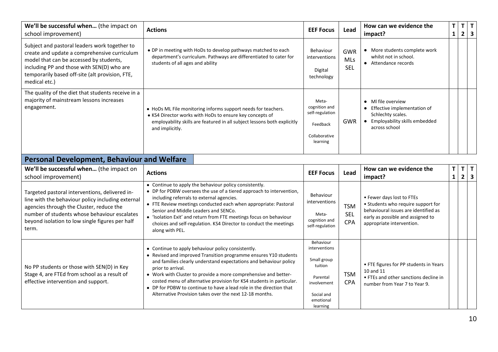| We'll be successful when (the impact on<br>school improvement)                                                                                                                                                                                             | <b>Actions</b>                                                                                                                                                                                                           | <b>EEF Focus</b>                                                                   | Lead                                   | How can we evidence the<br>impact?                                                                                                  | T.<br>1 | T.<br>$\overline{2}$ | T |
|------------------------------------------------------------------------------------------------------------------------------------------------------------------------------------------------------------------------------------------------------------|--------------------------------------------------------------------------------------------------------------------------------------------------------------------------------------------------------------------------|------------------------------------------------------------------------------------|----------------------------------------|-------------------------------------------------------------------------------------------------------------------------------------|---------|----------------------|---|
| Subject and pastoral leaders work together to<br>create and update a comprehensive curriculum<br>model that can be accessed by students,<br>including PP and those with SEN(D) who are<br>temporarily based off-site (alt provision, FTE,<br>medical etc.) | • DP in meeting with HoDs to develop pathways matched to each<br>department's curriculum. Pathways are differentiated to cater for<br>students of all ages and ability                                                   | Behaviour<br>interventions<br>Digital<br>technology                                | <b>GWR</b><br><b>MLs</b><br><b>SEL</b> | More students complete work<br>whilst not in school.<br>Attendance records                                                          |         |                      |   |
| The quality of the diet that students receive in a<br>majority of mainstream lessons increases<br>engagement.                                                                                                                                              | • HoDs ML File monitoring informs support needs for teachers.<br>• KS4 Director works with HoDs to ensure key concepts of<br>employability skills are featured in all subject lessons both explicitly<br>and implicitly. | Meta-<br>cognition and<br>self-regulation<br>Feedback<br>Collaborative<br>learning | <b>GWR</b>                             | MI file overview<br>$\bullet$<br>Effective implementation of<br>Schlechty scales.<br>Employability skills embedded<br>across school |         |                      |   |

#### **Personal Development, Behaviour and Welfare**

| We'll be successful when (the impact on<br>school improvement)                                                                                                                                                                                              | <b>Actions</b>                                                                                                                                                                                                                                                                                                                                                                                                                                                                                                                                                                                   | <b>EEF Focus</b>                                                        | Lead                                   | How can we evidence the<br>impact?                                                                                                                                        | Τ<br>$\mathbf{1}$ | T.<br>$\mathbf{2}$ | T<br>$\overline{\mathbf{3}}$ |
|-------------------------------------------------------------------------------------------------------------------------------------------------------------------------------------------------------------------------------------------------------------|--------------------------------------------------------------------------------------------------------------------------------------------------------------------------------------------------------------------------------------------------------------------------------------------------------------------------------------------------------------------------------------------------------------------------------------------------------------------------------------------------------------------------------------------------------------------------------------------------|-------------------------------------------------------------------------|----------------------------------------|---------------------------------------------------------------------------------------------------------------------------------------------------------------------------|-------------------|--------------------|------------------------------|
| Targeted pastoral interventions, delivered in-<br>line with the behaviour policy including external<br>agencies through the Cluster, reduce the<br>number of students whose behaviour escalates<br>beyond isolation to low single figures per half<br>term. | • Continue to apply the behaviour policy consistently.<br>• DP for PDBW oversees the use of a tiered approach to intervention,<br>including referrals to external agencies.<br>• FTE Review meetings conducted each when appropriate: Pastoral<br>Senior and Middle Leaders and SENCo.<br>• 'Isolation Exit' and return from FTE meetings focus on behaviour<br>choices and self-regulation. KS4 Director to conduct the meetings<br>along with PEL.                                                                                                                                             | Behaviour<br>interventions<br>Meta-<br>cognition and<br>self-regulation | <b>TSM</b><br><b>SEL</b><br><b>CPA</b> | • Fewer days lost to FTEs<br>• Students who require support for<br>behavioural issues are identified as<br>early as possible and assigned to<br>appropriate intervention. |                   |                    |                              |
| No PP students or those with SEN(D) in Key<br>Stage 4, are FTEd from school as a result of<br>effective intervention and support.                                                                                                                           | Behaviour<br>interventions<br>• Continue to apply behaviour policy consistently.<br>• Revised and improved Transition programme ensures Y10 students<br>Small group<br>and families clearly understand expectations and behaviour policy<br>prior to arrival.<br>• Work with Cluster to provide a more comprehensive and better-<br>Parental<br>costed menu of alternative provision for KS4 students in particular.<br>involvement<br>• DP for PDBW to continue to have a lead role in the direction that<br>Alternative Provision takes over the next 12-18 months.<br>Social and<br>emotional |                                                                         | <b>TSM</b><br><b>CPA</b>               | • FTE figures for PP students in Years<br>10 and 11<br>• FTEs and other sanctions decline in<br>number from Year 7 to Year 9.                                             |                   |                    |                              |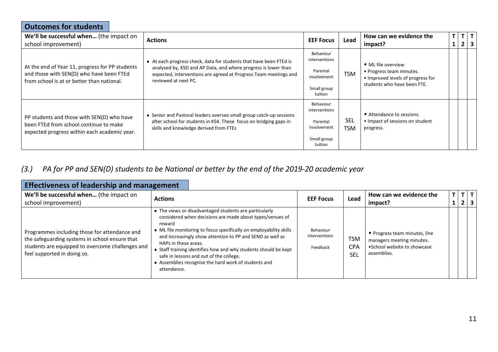| <b>Outcomes for students</b>                                                                                                              |                                                                                                                                                                                                                                  |                                                                                 |                          |                                                                                                                    |  |                           |
|-------------------------------------------------------------------------------------------------------------------------------------------|----------------------------------------------------------------------------------------------------------------------------------------------------------------------------------------------------------------------------------|---------------------------------------------------------------------------------|--------------------------|--------------------------------------------------------------------------------------------------------------------|--|---------------------------|
| We'll be successful when (the impact on<br>school improvement)                                                                            | <b>Actions</b>                                                                                                                                                                                                                   | <b>EEF Focus</b>                                                                | Lead                     | How can we evidence the<br>impact?                                                                                 |  | $T$ $T$ $T$<br>$2 \mid 3$ |
| At the end of Year 11, progress for PP students<br>and those with SEN(D) who have been FTEd<br>from school is at or better than national. | • At each progress check, data for students that have been FTEd is<br>analysed by, KSD and AP Data, and where progress is lower than<br>expected, interventions are agreed at Progress Team meetings and<br>reviewed at next PC. | Behaviour<br>interventions<br>Parental<br>involvement<br>Small group<br>tuition | <b>TSM</b>               | • ML file overview<br>• Progress team minutes.<br>. Improved levels of progress for<br>students who have been FTE. |  |                           |
| PP students and those with SEN(D) who have<br>been FTEd from school continue to make<br>expected progress within each academic year.      | • Senior and Pastoral leaders oversee small group catch-up sessions<br>after school for students in KS4. These focus on bridging gaps in<br>skills and knowledge derived from FTEs                                               | Behaviour<br>interventions<br>Parental<br>involvement<br>Small group<br>tuition | <b>SEL</b><br><b>TSM</b> | • Attendance to sessions.<br>• Impact of sessions on student<br>progress.                                          |  |                           |

#### *(3.) PA for PP and SEN(D) students to be National or better by the end of the 2019-20 academic year*

| <b>Effectiveness of leadership and management</b>                                                                                                                                  |                                                                                                                                                                                                                                                                                                                                                                                                                                                                              |                                        |                                 |                                                                                                           |                |                                    |  |
|------------------------------------------------------------------------------------------------------------------------------------------------------------------------------------|------------------------------------------------------------------------------------------------------------------------------------------------------------------------------------------------------------------------------------------------------------------------------------------------------------------------------------------------------------------------------------------------------------------------------------------------------------------------------|----------------------------------------|---------------------------------|-----------------------------------------------------------------------------------------------------------|----------------|------------------------------------|--|
| We'll be successful when (the impact on<br>school improvement)                                                                                                                     | <b>Actions</b>                                                                                                                                                                                                                                                                                                                                                                                                                                                               | <b>EEF Focus</b>                       | Lead                            | How can we evidence the<br>impact?                                                                        | $\overline{2}$ | $T$ $T$<br>$\overline{\mathbf{3}}$ |  |
| Programmes including those for attendance and<br>the safeguarding systems in school ensure that<br>students are equipped to overcome challenges and<br>feel supported in doing so. | • The views or disadvantaged students are particularly<br>considered when decisions are made about types/venues of<br>reward<br>• ML file monitoring to focus specifically on employability skills<br>and increasingly show attention to PP and SEND as well as<br>HAPs in these areas.<br>• Staff training identifies how and why students should be kept<br>safe in lessons and out of the college.<br>• Assemblies recognise the hard work of students and<br>attendance. | Behaviour<br>interventions<br>Feedback | <b>TSM</b><br><b>CPA</b><br>SEL | • Progress team minutes, line<br>managers meeting minutes.<br>• School website to showcase<br>assemblies. |                |                                    |  |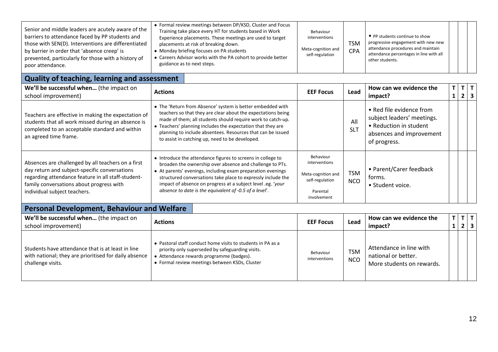| Senior and middle leaders are acutely aware of the<br>barriers to attendance faced by PP students and<br>those with SEN(D). Interventions are differentiated<br>by barrier in order that 'absence creep' is<br>prevented, particularly for those with a history of<br>poor attendance. | • Formal review meetings between DP/KSD, Cluster and Focus<br>Training take place every HT for students based in Work<br>Experience placements. These meetings are used to target<br>placements at risk of breaking down.<br>• Monday briefing focuses on PA students<br>Careers Advisor works with the PA cohort to provide better<br>guidance as to next steps. | Behaviour<br>interventions<br>Meta-cognition and<br>self-regulation | <b>TSM</b><br><b>CPA</b> | • PP students continue to show<br>progressive engagement with new new<br>attendance procedures and maintain<br>attendance percentages in line with all<br>other students. |  |  |  |
|----------------------------------------------------------------------------------------------------------------------------------------------------------------------------------------------------------------------------------------------------------------------------------------|-------------------------------------------------------------------------------------------------------------------------------------------------------------------------------------------------------------------------------------------------------------------------------------------------------------------------------------------------------------------|---------------------------------------------------------------------|--------------------------|---------------------------------------------------------------------------------------------------------------------------------------------------------------------------|--|--|--|
|----------------------------------------------------------------------------------------------------------------------------------------------------------------------------------------------------------------------------------------------------------------------------------------|-------------------------------------------------------------------------------------------------------------------------------------------------------------------------------------------------------------------------------------------------------------------------------------------------------------------------------------------------------------------|---------------------------------------------------------------------|--------------------------|---------------------------------------------------------------------------------------------------------------------------------------------------------------------------|--|--|--|

## **Quality of teaching, learning and assessment**

| We'll be successful when (the impact on<br>school improvement)                                                                                                                                                                        | <b>Actions</b>                                                                                                                                                                                                                                                                                                                                                                  | <b>EEF Focus</b>                                                                               | Lead                     | How can we evidence the<br>impact?                                                                                           |  | $\mathbf{2}$ |  |
|---------------------------------------------------------------------------------------------------------------------------------------------------------------------------------------------------------------------------------------|---------------------------------------------------------------------------------------------------------------------------------------------------------------------------------------------------------------------------------------------------------------------------------------------------------------------------------------------------------------------------------|------------------------------------------------------------------------------------------------|--------------------------|------------------------------------------------------------------------------------------------------------------------------|--|--------------|--|
| Teachers are effective in making the expectation of<br>students that all work missed during an absence is<br>completed to an acceptable standard and within<br>an agreed time frame.                                                  | • The 'Return from Absence' system is better embedded with<br>teachers so that they are clear about the expectations being<br>made of them; all students should require work to catch-up.<br>• Teachers' planning includes the expectation that they are<br>planning to include absentees. Resources that can be issued<br>to assist in catching up, need to be developed.      |                                                                                                | All<br><b>SLT</b>        | • Red file evidence from<br>subject leaders' meetings.<br>• Reduction in student<br>absences and improvement<br>of progress. |  |              |  |
| Absences are challenged by all teachers on a first<br>day return and subject-specific conversations<br>regarding attendance feature in all staff-student-<br>family conversations about progress with<br>individual subject teachers. | • Introduce the attendance figures to screens in college to<br>broaden the ownership over absence and challenge to PTs.<br>• At parents' evenings, including exam preparation evenings<br>structured conversations take place to expressly include the<br>impact of absence on progress at a subject level .eg. 'your<br>absence to date is the equivalent of -0.5 of a level'. | Behaviour<br>interventions<br>Meta-cognition and<br>self-regulation<br>Parental<br>involvement | <b>TSM</b><br><b>NCO</b> | • Parent/Carer feedback<br>forms.<br>• Student voice.                                                                        |  |              |  |

## **Personal Development, Behaviour and Welfare**

| We'll be successful when (the impact on<br>school improvement)                                                                  | <b>Actions</b>                                                                                                                                                                                                | <b>EEF Focus</b>           | Lead                     | How can we evidence the<br>impact?                                          | T | $T$ $T$<br>$2 \mid 3 \mid$ |  |
|---------------------------------------------------------------------------------------------------------------------------------|---------------------------------------------------------------------------------------------------------------------------------------------------------------------------------------------------------------|----------------------------|--------------------------|-----------------------------------------------------------------------------|---|----------------------------|--|
| Students have attendance that is at least in line<br>with national; they are prioritised for daily absence<br>challenge visits. | • Pastoral staff conduct home visits to students in PA as a<br>priority only superseded by safeguarding visits.<br>• Attendance rewards programme (badges).<br>• Formal review meetings between KSDs, Cluster | Behaviour<br>interventions | <b>TSM</b><br><b>NCO</b> | Attendance in line with<br>national or better.<br>More students on rewards. |   |                            |  |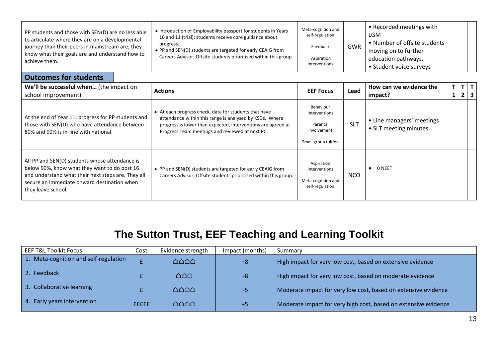| PP students and those with SEN(D) are no less able<br>to articulate where they are on a developmental<br>journey than their peers in mainstream are; they<br>know what their goals are and understand how to<br>achieve them. | • Introduction of Employability passport for students in Years<br>10 and 11 (trial); students receive core guidance about<br>progress.<br>• PP and SEN(D) students are targeted for early CEAIG from<br>Careers Advisor; Offsite students prioritised within this group. | Meta-cognition and<br>self-regulation<br>Feedback<br>Aspiration<br>interventions | GWR | • Recorded meetings with<br>LGM<br>• Number of offsite students<br>moving on to further<br>education pathways.<br>• Student voice surveys |  |  |
|-------------------------------------------------------------------------------------------------------------------------------------------------------------------------------------------------------------------------------|--------------------------------------------------------------------------------------------------------------------------------------------------------------------------------------------------------------------------------------------------------------------------|----------------------------------------------------------------------------------|-----|-------------------------------------------------------------------------------------------------------------------------------------------|--|--|
|-------------------------------------------------------------------------------------------------------------------------------------------------------------------------------------------------------------------------------|--------------------------------------------------------------------------------------------------------------------------------------------------------------------------------------------------------------------------------------------------------------------------|----------------------------------------------------------------------------------|-----|-------------------------------------------------------------------------------------------------------------------------------------------|--|--|

#### **Outcomes for students**

| We'll be successful when (the impact on<br>school improvement)                                                                                                                                                            | <b>Actions</b>                                                                                                                                                                                                                      | <b>EEF Focus</b>                                                             | Lead       | How can we evidence the<br>impact?                  | т | T<br>$\overline{2}$ | T  <br>$\overline{\mathbf{3}}$ |
|---------------------------------------------------------------------------------------------------------------------------------------------------------------------------------------------------------------------------|-------------------------------------------------------------------------------------------------------------------------------------------------------------------------------------------------------------------------------------|------------------------------------------------------------------------------|------------|-----------------------------------------------------|---|---------------------|--------------------------------|
| At the end of Year 11, progress for PP students and<br>those with SEN(D) who have attendance between<br>80% and 90% is in-line with national.                                                                             | • At each progress check, data for students that have<br>attendance within this range is analysed by KSDs. Where<br>progress is lower than expected, interventions are agreed at<br>Progress Team meetings and reviewed at next PC. | Behaviour<br>interventions<br>Parental<br>involvement<br>Small group tuition | <b>SLT</b> | • Line managers' meetings<br>• SLT meeting minutes. |   |                     |                                |
| All PP and SEN(D) students whose attendance is<br>below 90%, know what they want to do post 16<br>and understand what their next steps are. They all<br>secure an immediate onward destination when<br>they leave school. | • PP and SEN(D) students are targeted for early CEAIG from<br>Careers Advisor; Offsite students prioritised within this group.                                                                                                      | Aspiration<br>interventions<br>Meta-cognition and<br>self-regulation         | <b>NCO</b> | 0 NEET                                              |   |                     |                                |

## **The Sutton Trust, EEF Teaching and Learning Toolkit**

| <b>EEF T&amp;L Toolkit Focus</b>      | Cost         | Evidence strength                   | Impact (months) | Summary                                                         |
|---------------------------------------|--------------|-------------------------------------|-----------------|-----------------------------------------------------------------|
| 1. Meta-cognition and self-regulation |              | $\triangle$ $\triangle$ $\triangle$ | $+8$            | High impact for very low cost, based on extensive evidence      |
| 2. Feedback                           |              | $\triangle$ $\triangle$             | $+8$            | High impact for very low cost, based on moderate evidence       |
| 3. Collaborative learning             |              | NANA A                              | $+5$            | Moderate impact for very low cost, based on extensive evidence  |
| 4. Early years intervention           | <b>fffff</b> | $\triangle$ $\triangle$ $\triangle$ | $+5$            | Moderate impact for very high cost, based on extensive evidence |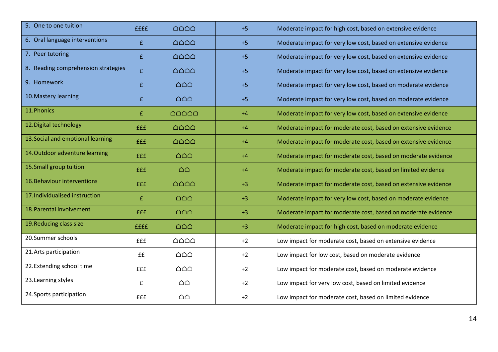| 5. One to one tuition               | <b>ffff</b> | $\triangle$ $\triangle$ $\triangle$       | $+5$ | Moderate impact for high cost, based on extensive evidence     |
|-------------------------------------|-------------|-------------------------------------------|------|----------------------------------------------------------------|
| 6. Oral language interventions      | £           | $\triangle \triangle \triangle$           | $+5$ | Moderate impact for very low cost, based on extensive evidence |
| 7. Peer tutoring                    | £           | $\triangle \triangle \triangle \triangle$ | $+5$ | Moderate impact for very low cost, based on extensive evidence |
| 8. Reading comprehension strategies | £           | $\triangle \triangle \triangle \triangle$ | $+5$ | Moderate impact for very low cost, based on extensive evidence |
| 9. Homework                         | £           | $\triangle$ $\triangle$                   | $+5$ | Moderate impact for very low cost, based on moderate evidence  |
| 10. Mastery learning                | £           | $\triangle$ $\triangle$                   | $+5$ | Moderate impact for very low cost, based on moderate evidence  |
| 11. Phonics                         | £           | $\triangle \triangle \triangle \triangle$ | $+4$ | Moderate impact for very low cost, based on extensive evidence |
| 12. Digital technology              | <b>fff</b>  | $\triangle$ $\triangle$ $\triangle$       | $+4$ | Moderate impact for moderate cost, based on extensive evidence |
| 13. Social and emotional learning   | <b>fff</b>  | $\triangle \triangle \triangle \triangle$ | $+4$ | Moderate impact for moderate cost, based on extensive evidence |
| 14. Outdoor adventure learning      | <b>fff</b>  | $\triangle$ $\triangle$                   | $+4$ | Moderate impact for moderate cost, based on moderate evidence  |
| 15. Small group tuition             | <b>fff</b>  | $\triangle$ $\triangle$                   | $+4$ | Moderate impact for moderate cost, based on limited evidence   |
| 16. Behaviour interventions         | <b>fff</b>  | $\triangle \triangle \triangle \triangle$ | $+3$ | Moderate impact for moderate cost, based on extensive evidence |
| 17. Individualised instruction      | £           | $\triangle$ $\triangle$                   | $+3$ | Moderate impact for very low cost, based on moderate evidence  |
| 18. Parental involvement            | <b>fff</b>  | $\triangle$ $\triangle$                   | $+3$ | Moderate impact for moderate cost, based on moderate evidence  |
| 19. Reducing class size             | ffff        | $\triangle$ $\triangle$                   | $+3$ | Moderate impact for high cost, based on moderate evidence      |
| 20.Summer schools                   | <b>fff</b>  | $\triangle$ $\triangle$ $\triangle$       | $+2$ | Low impact for moderate cost, based on extensive evidence      |
| 21. Arts participation              | ££          | $\triangle$ $\triangle$                   | $+2$ | Low impact for low cost, based on moderate evidence            |
| 22. Extending school time           | <b>fff</b>  | $\triangle$ $\triangle$                   | $+2$ | Low impact for moderate cost, based on moderate evidence       |
| 23. Learning styles                 | £           | $\triangle \triangle$                     | $+2$ | Low impact for very low cost, based on limited evidence        |
| 24. Sports participation            | £££         | $\triangle$ $\triangle$                   | $+2$ | Low impact for moderate cost, based on limited evidence        |